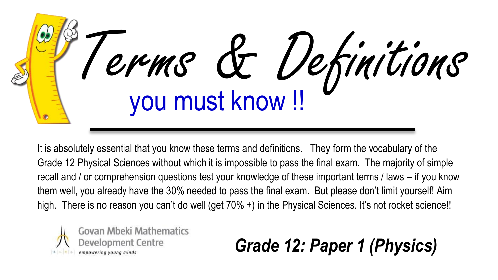

It is absolutely essential that you know these terms and definitions. They form the vocabulary of the Grade 12 Physical Sciences without which it is impossible to pass the final exam. The majority of simple recall and / or comprehension questions test your knowledge of these important terms / laws – if you know them well, you already have the 30% needed to pass the final exam. But please don't limit yourself! Aim high. There is no reason you can't do well (get 70% +) in the Physical Sciences. It's not rocket science!!



*Grade 12: Paper 1 (Physics)*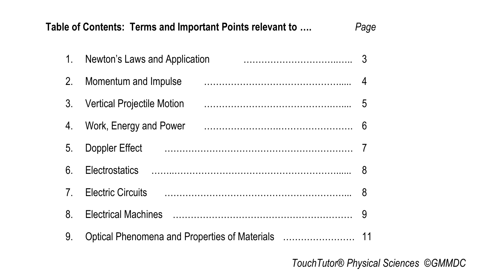## **Table of Contents: Terms and Important Points relevant to ….** *Page*

|                | 1. Newton's Laws and Application |  |
|----------------|----------------------------------|--|
| 2.             | Momentum and Impulse             |  |
|                | 3. Vertical Projectile Motion    |  |
| 4.             | Work, Energy and Power           |  |
| 5.             | Doppler Effect                   |  |
| 6.             |                                  |  |
| 7 <sub>1</sub> |                                  |  |
| 8.             |                                  |  |
| 9.             |                                  |  |
|                |                                  |  |

*TouchTutor® Physical Sciences ©GMMDC*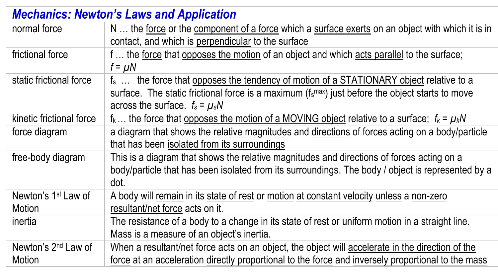| <b>Mechanics: Newton's Laws and Application</b> |                                                                                                                                                                                                                                                              |  |
|-------------------------------------------------|--------------------------------------------------------------------------------------------------------------------------------------------------------------------------------------------------------------------------------------------------------------|--|
| normal force                                    | N  the force or the component of a force which a surface exerts on an object with which it is in<br>contact, and which is perpendicular to the surface                                                                                                       |  |
| frictional force                                | f  the force that opposes the motion of an object and which acts parallel to the surface;<br>$f = \mu N$                                                                                                                                                     |  |
| static frictional force                         | f <sub>s</sub> the force that opposes the tendency of motion of a STATIONARY object relative to a<br>surface. The static frictional force is a maximum ( $f_s$ <sup>max</sup> ) just before the object starts to move<br>across the surface. $f_s = \mu_s N$ |  |
| kinetic frictional force                        | $f_k$ the force that opposes the motion of a MOVING object relative to a surface; $f_k = \mu_k N$                                                                                                                                                            |  |
| force diagram                                   | a diagram that shows the relative magnitudes and directions of forces acting on a body/particle<br>that has been isolated from its surroundings                                                                                                              |  |
| free-body diagram                               | This is a diagram that shows the relative magnitudes and directions of forces acting on a<br>body/particle that has been isolated from its surroundings. The body / object is represented by a<br>dot.                                                       |  |
| Newton's 1 <sup>st</sup> Law of<br>Motion       | A body will remain in its state of rest or motion at constant velocity unless a non-zero<br>resultant/net force acts on it.                                                                                                                                  |  |
| inertia                                         | The resistance of a body to a change in its state of rest or uniform motion in a straight line.<br>Mass is a measure of an object's inertia.                                                                                                                 |  |
| Newton's 2 <sup>nd</sup> Law of<br>Motion       | When a resultant/net force acts on an object, the object will accelerate in the direction of the<br>force at an acceleration directly proportional to the force and inversely proportional to the mass                                                       |  |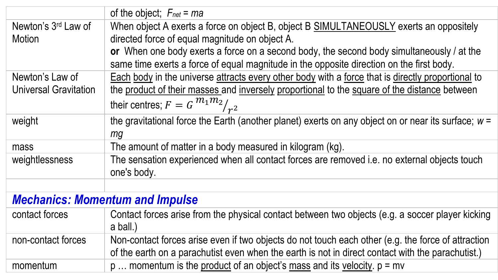|                                        | of the object; $F_{net} = ma$                                                                                |  |
|----------------------------------------|--------------------------------------------------------------------------------------------------------------|--|
| Newton's 3 <sup>rd</sup> Law of        | When object A exerts a force on object B, object B SIMULTANEOUSLY exerts an oppositely                       |  |
| Motion                                 | directed force of equal magnitude on object A.                                                               |  |
|                                        | or When one body exerts a force on a second body, the second body simultaneously / at the                    |  |
|                                        | same time exerts a force of equal magnitude in the opposite direction on the first body.                     |  |
| Newton's Law of                        | Each body in the universe attracts every other body with a force that is directly proportional to            |  |
| Universal Gravitation                  | the product of their masses and inversely proportional to the square of the distance between                 |  |
|                                        | their centres; $F = G^{m_1 m_2}/r^2$                                                                         |  |
| weight                                 | the gravitational force the Earth (another planet) exerts on any object on or near its surface; $w =$        |  |
|                                        | mq                                                                                                           |  |
| mass                                   | The amount of matter in a body measured in kilogram (kg).                                                    |  |
| weightlessness                         | The sensation experienced when all contact forces are removed i.e. no external objects touch<br>one's body.  |  |
|                                        |                                                                                                              |  |
| <b>Mechanics: Momentum and Impulse</b> |                                                                                                              |  |
| contact forces                         | Contact forces arise from the physical contact between two objects (e.g. a soccer player kicking<br>a ball.) |  |
| non-contact forces                     | Non-contact forces arise even if two objects do not touch each other (e.g. the force of attraction           |  |
|                                        | of the earth on a parachutist even when the earth is not in direct contact with the parachutist.)            |  |
| momentum                               | $p$ momentum is the product of an object's mass and its velocity. $p = mv$                                   |  |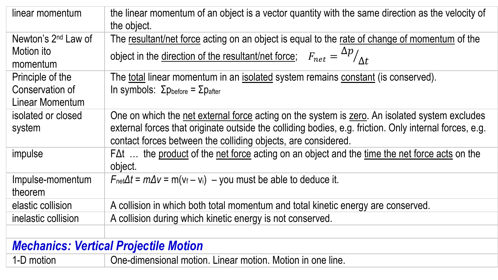| linear momentum                              | the linear momentum of an object is a vector quantity with the same direction as the velocity of<br>the object. |  |
|----------------------------------------------|-----------------------------------------------------------------------------------------------------------------|--|
| Newton's 2 <sup>nd</sup> Law of              | The resultant/net force acting on an object is equal to the rate of change of momentum of the                   |  |
| Motion ito<br>momentum                       | object in the <u>direction of the resultant/net force</u> ; $F_{net} = \frac{\Delta p}{\Delta t}$               |  |
| Principle of the                             | The total linear momentum in an isolated system remains constant (is conserved).                                |  |
| Conservation of                              | In symbols: Σ $p_{before} = Σp_{after}$                                                                         |  |
| Linear Momentum                              |                                                                                                                 |  |
| isolated or closed                           | One on which the net external force acting on the system is zero. An isolated system excludes                   |  |
| system                                       | external forces that originate outside the colliding bodies, e.g. friction. Only internal forces, e.g.          |  |
|                                              | contact forces between the colliding objects, are considered.                                                   |  |
| impulse                                      | FΔt  the product of the net force acting on an object and the time the net force acts on the                    |  |
|                                              | object.                                                                                                         |  |
| Impulse-momentum                             | $F_{net}\Delta t = m\Delta v = m(v_f - v_i) - you must be able to deduce it.$                                   |  |
| theorem                                      |                                                                                                                 |  |
| elastic collision                            | A collision in which both total momentum and total kinetic energy are conserved.                                |  |
| inelastic collision                          | A collision during which kinetic energy is not conserved.                                                       |  |
|                                              |                                                                                                                 |  |
| <b>Mechanics: Vertical Projectile Motion</b> |                                                                                                                 |  |
| 1-D motion                                   | One-dimensional motion. Linear motion. Motion in one line.                                                      |  |
|                                              |                                                                                                                 |  |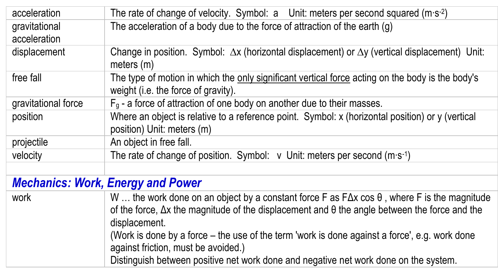| acceleration                             | The rate of change of velocity. Symbol: $a$ Unit: meters per second squared (m·s-2)                                                                                                                                                                                                                                                        |  |
|------------------------------------------|--------------------------------------------------------------------------------------------------------------------------------------------------------------------------------------------------------------------------------------------------------------------------------------------------------------------------------------------|--|
| gravitational                            | The acceleration of a body due to the force of attraction of the earth (g)                                                                                                                                                                                                                                                                 |  |
| acceleration                             |                                                                                                                                                                                                                                                                                                                                            |  |
| displacement                             | Change in position. Symbol: $\Delta x$ (horizontal displacement) or $\Delta y$ (vertical displacement) Unit:<br>meters (m)                                                                                                                                                                                                                 |  |
| free fall                                | The type of motion in which the only significant vertical force acting on the body is the body's<br>weight (i.e. the force of gravity).                                                                                                                                                                                                    |  |
| gravitational force                      | $F_g$ - a force of attraction of one body on another due to their masses.                                                                                                                                                                                                                                                                  |  |
| position                                 | Where an object is relative to a reference point. Symbol: x (horizontal position) or y (vertical<br>position) Unit: meters (m)                                                                                                                                                                                                             |  |
| projectile                               | An object in free fall.                                                                                                                                                                                                                                                                                                                    |  |
| velocity                                 | The rate of change of position. Symbol: $v$ Unit: meters per second (m·s <sup>-1</sup> )                                                                                                                                                                                                                                                   |  |
|                                          |                                                                                                                                                                                                                                                                                                                                            |  |
| <b>Mechanics: Work, Energy and Power</b> |                                                                                                                                                                                                                                                                                                                                            |  |
| work                                     | W  the work done on an object by a constant force F as $F\Delta x \cos \theta$ , where F is the magnitude<br>of the force, $\Delta x$ the magnitude of the displacement and $\theta$ the angle between the force and the<br>displacement.<br>(Work is done by a force – the use of the term 'work is done against a force', e.g. work done |  |
|                                          | against friction, must be avoided.)                                                                                                                                                                                                                                                                                                        |  |
|                                          | Distinguish between positive net work done and negative net work done on the system.                                                                                                                                                                                                                                                       |  |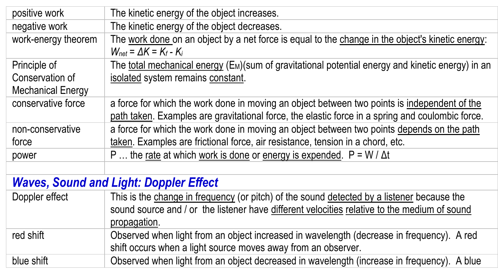| positive work                                 | The kinetic energy of the object increases.                                                                                                                                                      |  |
|-----------------------------------------------|--------------------------------------------------------------------------------------------------------------------------------------------------------------------------------------------------|--|
| negative work                                 | The kinetic energy of the object decreases.                                                                                                                                                      |  |
| work-energy theorem                           | The work done on an object by a net force is equal to the change in the object's kinetic energy:<br>$W_{net} = \Delta K = K_f - K_i$                                                             |  |
| Principle of                                  | The total mechanical energy (E <sub>M</sub> )(sum of gravitational potential energy and kinetic energy) in an                                                                                    |  |
| Conservation of                               | isolated system remains constant.                                                                                                                                                                |  |
| Mechanical Energy                             |                                                                                                                                                                                                  |  |
| conservative force                            | a force for which the work done in moving an object between two points is independent of the<br>path taken. Examples are gravitational force, the elastic force in a spring and coulombic force. |  |
| non-conservative                              | a force for which the work done in moving an object between two points depends on the path                                                                                                       |  |
| force                                         | taken. Examples are frictional force, air resistance, tension in a chord, etc.                                                                                                                   |  |
| power                                         | P  the rate at which work is done or energy is expended. $P = W / \Delta t$                                                                                                                      |  |
|                                               |                                                                                                                                                                                                  |  |
| <b>Waves, Sound and Light: Doppler Effect</b> |                                                                                                                                                                                                  |  |
| Doppler effect                                | This is the change in frequency (or pitch) of the sound detected by a listener because the                                                                                                       |  |
|                                               | sound source and / or the listener have different velocities relative to the medium of sound                                                                                                     |  |
|                                               | propagation.                                                                                                                                                                                     |  |
| red shift                                     | Observed when light from an object increased in wavelength (decrease in frequency). A red                                                                                                        |  |
|                                               | shift occurs when a light source moves away from an observer.                                                                                                                                    |  |
| blue shift                                    | Observed when light from an object decreased in wavelength (increase in frequency). A blue                                                                                                       |  |
|                                               |                                                                                                                                                                                                  |  |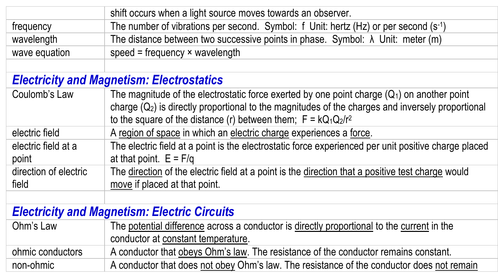|                                                     | shift occurs when a light source moves towards an observer.                                          |  |
|-----------------------------------------------------|------------------------------------------------------------------------------------------------------|--|
| frequency                                           | The number of vibrations per second. Symbol: f Unit: hertz (Hz) or per second $(s-1)$                |  |
| wavelength                                          | The distance between two successive points in phase. Symbol: $\lambda$ Unit: meter (m)               |  |
| wave equation                                       | speed = frequency $\times$ wavelength                                                                |  |
|                                                     |                                                                                                      |  |
|                                                     | <b>Electricity and Magnetism: Electrostatics</b>                                                     |  |
| Coulomb's Law                                       | The magnitude of the electrostatic force exerted by one point charge $(Q_1)$ on another point        |  |
|                                                     | charge $(Q_2)$ is directly proportional to the magnitudes of the charges and inversely proportional  |  |
|                                                     | to the square of the distance (r) between them; $F = kQ_1Q_2/r^2$                                    |  |
| electric field                                      | A region of space in which an electric charge experiences a force.                                   |  |
| electric field at a                                 | The electric field at a point is the electrostatic force experienced per unit positive charge placed |  |
| point                                               | at that point. $E = F/q$                                                                             |  |
| direction of electric                               | The direction of the electric field at a point is the direction that a positive test charge would    |  |
| field                                               | move if placed at that point.                                                                        |  |
|                                                     |                                                                                                      |  |
| <b>Electricity and Magnetism: Electric Circuits</b> |                                                                                                      |  |
| Ohm's Law                                           | The potential difference across a conductor is directly proportional to the current in the           |  |
|                                                     | conductor at constant temperature.                                                                   |  |
| ohmic conductors                                    | A conductor that obeys Ohm's law. The resistance of the conductor remains constant.                  |  |
| non-ohmic                                           | A conductor that does not obey Ohm's law. The resistance of the conductor does not remain            |  |
|                                                     |                                                                                                      |  |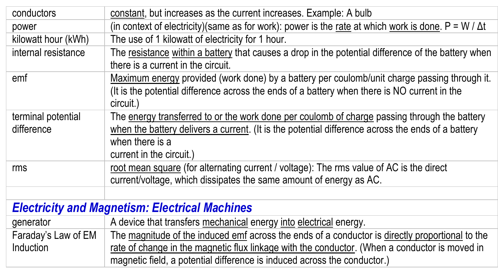| constant, but increases as the current increases. Example: A bulb<br>conductors<br>(in context of electricity)(same as for work): power is the rate at which work is done. $P = W / \Delta t$<br>power<br>The use of 1 kilowatt of electricity for 1 hour.<br>kilowatt hour (kWh)<br>internal resistance<br>The resistance within a battery that causes a drop in the potential difference of the battery when<br>there is a current in the circuit.<br>Maximum energy provided (work done) by a battery per coulomb/unit charge passing through it.<br>emf<br>(It is the potential difference across the ends of a battery when there is NO current in the<br>circuit.)<br>The energy transferred to or the work done per coulomb of charge passing through the battery<br>terminal potential<br>difference<br>when the battery delivers a current. (It is the potential difference across the ends of a battery<br>when there is a<br>current in the circuit.)<br>root mean square (for alternating current / voltage): The rms value of AC is the direct<br>rms<br>current/voltage, which dissipates the same amount of energy as AC.<br><b>Electricity and Magnetism: Electrical Machines</b><br>A device that transfers mechanical energy into electrical energy.<br>generator<br>Faraday's Law of EM<br>The magnitude of the induced emf across the ends of a conductor is directly proportional to the<br><b>Induction</b><br>rate of change in the magnetic flux linkage with the conductor. (When a conductor is moved in<br>magnetic field, a potential difference is induced across the conductor.) |  |  |  |
|----------------------------------------------------------------------------------------------------------------------------------------------------------------------------------------------------------------------------------------------------------------------------------------------------------------------------------------------------------------------------------------------------------------------------------------------------------------------------------------------------------------------------------------------------------------------------------------------------------------------------------------------------------------------------------------------------------------------------------------------------------------------------------------------------------------------------------------------------------------------------------------------------------------------------------------------------------------------------------------------------------------------------------------------------------------------------------------------------------------------------------------------------------------------------------------------------------------------------------------------------------------------------------------------------------------------------------------------------------------------------------------------------------------------------------------------------------------------------------------------------------------------------------------------------------------------------------------------------------------|--|--|--|
|                                                                                                                                                                                                                                                                                                                                                                                                                                                                                                                                                                                                                                                                                                                                                                                                                                                                                                                                                                                                                                                                                                                                                                                                                                                                                                                                                                                                                                                                                                                                                                                                                |  |  |  |
|                                                                                                                                                                                                                                                                                                                                                                                                                                                                                                                                                                                                                                                                                                                                                                                                                                                                                                                                                                                                                                                                                                                                                                                                                                                                                                                                                                                                                                                                                                                                                                                                                |  |  |  |
|                                                                                                                                                                                                                                                                                                                                                                                                                                                                                                                                                                                                                                                                                                                                                                                                                                                                                                                                                                                                                                                                                                                                                                                                                                                                                                                                                                                                                                                                                                                                                                                                                |  |  |  |
|                                                                                                                                                                                                                                                                                                                                                                                                                                                                                                                                                                                                                                                                                                                                                                                                                                                                                                                                                                                                                                                                                                                                                                                                                                                                                                                                                                                                                                                                                                                                                                                                                |  |  |  |
|                                                                                                                                                                                                                                                                                                                                                                                                                                                                                                                                                                                                                                                                                                                                                                                                                                                                                                                                                                                                                                                                                                                                                                                                                                                                                                                                                                                                                                                                                                                                                                                                                |  |  |  |
|                                                                                                                                                                                                                                                                                                                                                                                                                                                                                                                                                                                                                                                                                                                                                                                                                                                                                                                                                                                                                                                                                                                                                                                                                                                                                                                                                                                                                                                                                                                                                                                                                |  |  |  |
|                                                                                                                                                                                                                                                                                                                                                                                                                                                                                                                                                                                                                                                                                                                                                                                                                                                                                                                                                                                                                                                                                                                                                                                                                                                                                                                                                                                                                                                                                                                                                                                                                |  |  |  |
|                                                                                                                                                                                                                                                                                                                                                                                                                                                                                                                                                                                                                                                                                                                                                                                                                                                                                                                                                                                                                                                                                                                                                                                                                                                                                                                                                                                                                                                                                                                                                                                                                |  |  |  |
|                                                                                                                                                                                                                                                                                                                                                                                                                                                                                                                                                                                                                                                                                                                                                                                                                                                                                                                                                                                                                                                                                                                                                                                                                                                                                                                                                                                                                                                                                                                                                                                                                |  |  |  |
|                                                                                                                                                                                                                                                                                                                                                                                                                                                                                                                                                                                                                                                                                                                                                                                                                                                                                                                                                                                                                                                                                                                                                                                                                                                                                                                                                                                                                                                                                                                                                                                                                |  |  |  |
|                                                                                                                                                                                                                                                                                                                                                                                                                                                                                                                                                                                                                                                                                                                                                                                                                                                                                                                                                                                                                                                                                                                                                                                                                                                                                                                                                                                                                                                                                                                                                                                                                |  |  |  |
|                                                                                                                                                                                                                                                                                                                                                                                                                                                                                                                                                                                                                                                                                                                                                                                                                                                                                                                                                                                                                                                                                                                                                                                                                                                                                                                                                                                                                                                                                                                                                                                                                |  |  |  |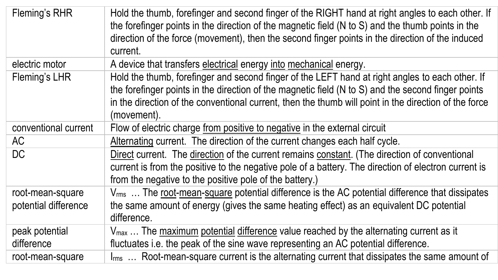| Fleming's RHR                            | Hold the thumb, forefinger and second finger of the RIGHT hand at right angles to each other. If<br>the forefinger points in the direction of the magnetic field (N to S) and the thumb points in the<br>direction of the force (movement), then the second finger points in the direction of the induced<br>current.         |
|------------------------------------------|-------------------------------------------------------------------------------------------------------------------------------------------------------------------------------------------------------------------------------------------------------------------------------------------------------------------------------|
| electric motor                           | A device that transfers electrical energy into mechanical energy.                                                                                                                                                                                                                                                             |
| Fleming's LHR                            | Hold the thumb, forefinger and second finger of the LEFT hand at right angles to each other. If<br>the forefinger points in the direction of the magnetic field (N to S) and the second finger points<br>in the direction of the conventional current, then the thumb will point in the direction of the force<br>(movement). |
| conventional current                     | Flow of electric charge from positive to negative in the external circuit                                                                                                                                                                                                                                                     |
| AC                                       | Alternating current. The direction of the current changes each half cycle.                                                                                                                                                                                                                                                    |
| DC.                                      | Direct current. The direction of the current remains constant. (The direction of conventional<br>current is from the positive to the negative pole of a battery. The direction of electron current is<br>from the negative to the positive pole of the battery.)                                                              |
| root-mean-square<br>potential difference | V <sub>rms</sub> The root-mean-square potential difference is the AC potential difference that dissipates<br>the same amount of energy (gives the same heating effect) as an equivalent DC potential<br>difference.                                                                                                           |
| peak potential<br>difference             | V <sub>max</sub> The maximum potential difference value reached by the alternating current as it<br>fluctuates i.e. the peak of the sine wave representing an AC potential difference.                                                                                                                                        |
| root-mean-square                         | I <sub>rms</sub> Root-mean-square current is the alternating current that dissipates the same amount of                                                                                                                                                                                                                       |